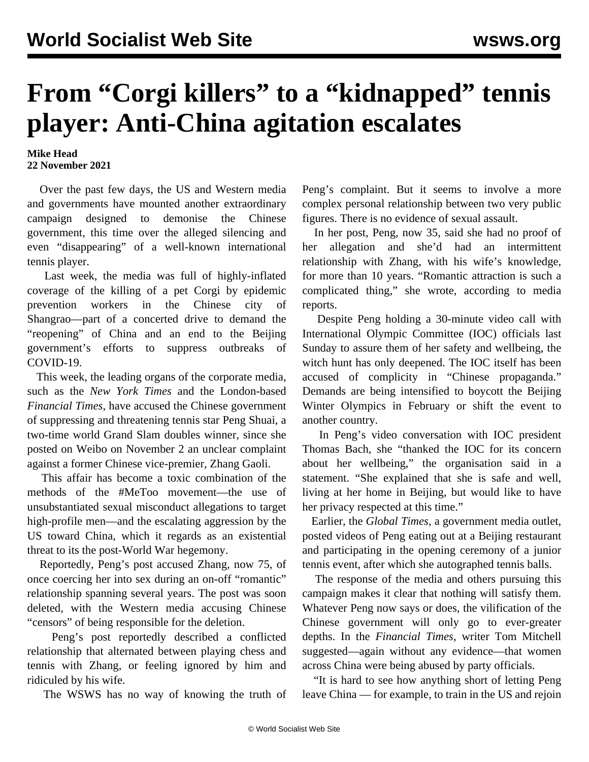## **From "Corgi killers" to a "kidnapped" tennis player: Anti-China agitation escalates**

## **Mike Head 22 November 2021**

 Over the past few days, the US and Western media and governments have mounted another extraordinary campaign designed to demonise the Chinese government, this time over the alleged silencing and even "disappearing" of a well-known international tennis player.

 Last week, the media was full of highly-inflated coverage of the killing of a pet Corgi by epidemic prevention workers in the Chinese city of Shangrao—part of a concerted drive to demand the "reopening" of China and an end to the Beijing government's efforts to suppress outbreaks of COVID-19.

 This week, the leading organs of the corporate media, such as the *New York Times* and the London-based *Financial Times*, have accused the Chinese government of suppressing and threatening tennis star Peng Shuai, a two-time world Grand Slam doubles winner, since she posted on Weibo on November 2 an unclear complaint against a former Chinese vice-premier, Zhang Gaoli.

 This affair has become a toxic combination of the methods of the #MeToo movement—the use of unsubstantiated sexual misconduct allegations to target high-profile men—and the escalating aggression by the US toward China, which it regards as an existential threat to its the post-World War hegemony.

 Reportedly, Peng's post accused Zhang, now 75, of once coercing her into sex during an on-off "romantic" relationship spanning several years. The post was soon deleted, with the Western media accusing Chinese "censors" of being responsible for the deletion.

 Peng's post reportedly described a conflicted relationship that alternated between playing chess and tennis with Zhang, or feeling ignored by him and ridiculed by his wife.

The WSWS has no way of knowing the truth of

Peng's complaint. But it seems to involve a more complex personal relationship between two very public figures. There is no evidence of sexual assault.

 In her post, Peng, now 35, said she had no proof of her allegation and she'd had an intermittent relationship with Zhang, with his wife's knowledge, for more than 10 years. "Romantic attraction is such a complicated thing," she wrote, according to media reports.

 Despite Peng holding a 30-minute video call with International Olympic Committee (IOC) officials last Sunday to assure them of her safety and wellbeing, the witch hunt has only deepened. The IOC itself has been accused of complicity in "Chinese propaganda." Demands are being intensified to boycott the Beijing Winter Olympics in February or shift the event to another country.

 In Peng's video conversation with IOC president Thomas Bach, she "thanked the IOC for its concern about her wellbeing," the organisation said in a statement. "She explained that she is safe and well, living at her home in Beijing, but would like to have her privacy respected at this time."

 Earlier, the *Global Times*, a government media outlet, posted videos of Peng eating out at a Beijing restaurant and participating in the opening ceremony of a junior tennis event, after which she autographed tennis balls.

 The response of the media and others pursuing this campaign makes it clear that nothing will satisfy them. Whatever Peng now says or does, the vilification of the Chinese government will only go to ever-greater depths. In the *Financial Times*, writer Tom Mitchell suggested—again without any evidence—that women across China were being abused by party officials.

 "It is hard to see how anything short of letting Peng leave China — for example, to train in the US and rejoin